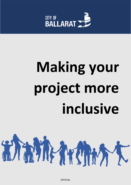

# **Making your project more inclusive**



**OFFICIAL**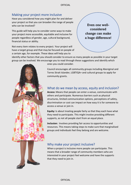# Making your project more inclusive

Have you considered how you might plan for and deliver your project so that you can broaden the range of people who can be involved?

This guide will help you to consider some ways to make your project more accessible, equitable and inclusive for people regardless of gender, age, cultural background, financial status or ability.

Not every item relates to every project. Your project will have a target group and that may be focused on people of a certain age, for example. These ideas will help you to

Even one wellconsidered change can make a huge difference!

identify other factors that you should consider to ensure as many people as possible in your target group can be involved. We encourage you to read through these suggestions and identify which



ones you could consider.

Council encourages all community groups including Aboriginal and Torres Strait Islander, LGBTIQA+ and cultural groups to apply for community grants.

# What do we mean by access, equity and inclusion?

**Access:** Means that people can enter a venue, communicate with others and participate. Numerous barriers such as physical structures, limited communication options, perceptions of safety, discrimination or cost can impact on how easy it is for someone to access a venue or join in.

**Equity:** Is about treating people fairly so that they each have what they need to participate. This might involve providing different supports, as not all people start from an equal place.

**Inclusion:** Involves providing fair access to opportunities and resources. This means taking steps to make sure that marginalised groups and individuals feel they belong and are welcome.

# Why make your project inclusive?

When a project is inclusive more people can participate. This means that a broader range of community members who are interested in your project feel welcome and have the supports that they need to join in.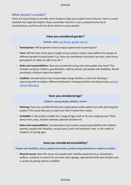# What should I consider?

There are many things to consider when trying to make your project more inclusive. Here is a quick checklist that might be helpful. Please remember that this is not a comprehensive list of considerations, and they will not all be relevant to your project.

#### **Have you considered gender?**

*Female, male, [non-binary, gender diverse](#page-5-0)*

- **Participation:** Will all genders have an equal opportunity to participate?
- **Time:** Will the time of the day or length of your project make it more difficult for people of different genders to participate? E.g. Have you considered school pick up times, work hours, perceptions of safety at night time etc.?
- **Roles and responsibilities:** Have you considered caring roles that people may have? This includes caring for children, grandchildren, elderly parents and people with disability. Would providing a childcare option be helpful?
- **Facilities:** Considerations may include baby change facilities, a room for feeding or expressing milk for babies, different bathroom/ changing facilities including having a [gender](#page-5-0) neutral [bathroom.](#page-5-0)

#### **Have you considered age?**

#### *Children, young people, families, seniors*

- **Planning:** Have you considered how your target group could support you with planning your project? This could help you to make sure that it meets their needs.
- □ **Suitability:** Is the project suitable for a range of ages and/ or for your target group? Think about times, days, location selected, planned activities etc.
- **Roles and responsibilities:** Considerations may include caring responsibilities (for children, parents, people with disability, young carers), work and volunteer roles, or the needs of students of varying ages.

#### **Have you considered accessibility?**

*People with disability, carers, people with prams, people using wheelchairs/ walkers/ scooters*

 **Physical access:** Does the venue suit people with mobility equipment (e.g. wheelchairs, walkers, scooters) or prams? Do you have clear signage, appropriate bathroom facilities and a variety of seating options available?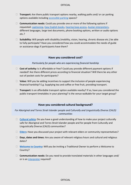#### OFFICIAL

- **Transport:** Are there public transport options nearby, walking paths and/ or car parking options available including [accessible parking](#page-5-0) spaces?
- **Communication needs:** Could you provide one or more of the following options if requested: [captioning, Easy English books, hearing loop](#page-5-0) access, [Auslan interpreters,](#page-5-0) different languages, large text documents, phone booking options, written or audio options etc.?
- **Suitability:** Will people with disability (mobility, vision, hearing, chronic disease etc.) be able to fully participate? Have you considered how you could accommodate the needs of guide or assistance dogs if participants have them?

#### **Have you considered cost?**

#### *Particularly for people who are experiencing financial hardship*

- **Cost of activity:** Is it affordable or free? Could you provide different payment options if needed? Are there different prices according to financial situation? Will there be any other out of pocket costs for participants?
- **Value:** Will you be adding incentives to support the inclusion of people experiencing financial hardship? E.g. Supplying tea and coffee or free fruit, providing transport.
- □ Transport: Is an affordable transport option available nearby? If so, have you considered the public transport timetables in your planning? Is the venue walkable for your target group?

#### **Have you considered cultural background?**

*For Aboriginal and Torres Strait Islander people and Culturally and Linguistically Diverse (CALD) communities*

- **[Cultural safety:](#page-5-0)** Do you have a good understanding of how to make your project culturally safe for Aboriginal and Torres Strait Islander people and for people from Culturally and Linguistically Diverse (CALD) communities?
- **[Elders:](#page-5-0)** Have you discussed your project with relevant elders or community representatives?
- **Days, dates and times:** Are you aware of relevant religious hours and cultural and religious dates?
- □ **[Welcome to Country:](#page-5-0)** Will you be inviting a Traditional Owner to perform a Welcome to Country?
- **Communication needs:** Do you need to provide translated materials in other languages and/ or is an [interpreter](#page-5-0) required?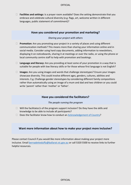**Facilities and settings:** Is a prayer room available? Does the setting demonstrate that you embrace and celebrate cultural diversity (e.g. flags, art, welcome written in different languages, public statement of commitment)?

### **Have you considered your promotion and marketing?**

#### *Sharing your project with others*

- **Promotion:** Are you promoting your project in a variety of places and using different communication methods? This means more than sharing your information online and in social media. Consider using hard copy documents, adding information to newsletters, displaying it on noticeboards, sharing it at meetings or over the radio, or using the phone or local community centre staff to help with promotion and bookings.
- □ Language and literacy: Are you providing at least some of your promotion in a way that is suitable for people with low literacy skills or for those whose first language is not English?
- **Images:** Are you using images and words that challenge stereotypes? Ensure your images showcase diversity. This could involve different ages, genders, cultures, abilities and interests. E.g. Challenge gender stereotypes by considering different family compositions rather than automatically using an image of a mum and dad and two children or you could write 'parent' rather than 'mother' or 'father'.

## **Have you considered the facilitators?**

#### *The people running the program*

- $\Box$  Will the facilitator/s of the program support inclusion? Do they have the skills and knowledge to be able to include all participants?
- $\Box$  Does the facilitator know how to conduct an [Acknowledgement of Country?](#page-5-0)

## **Want more information about how to make your project more inclusive?**

Please contact Council if you would like more information about making your project more inclusive. Email [bernadetteduffy@ballarat.vic.gov.au](mailto:bernadetteduffy@ballarat.vic.gov.au) or call 5320 5500 to receive links to further helpful resources.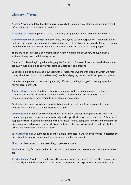#### OFFICIAL

## <span id="page-5-0"></span>Glossary of Terms

**Access:** Providing suitable facilities and resources to help people to enter a location, understand information and participate in an activity.

**Accessible parking:** car parking spaces specifically designed for people with disability to use.

**Acknowledgment of Country:** An opportunity for anyone to show respect for Traditional Owners and the continuing connection of Aboriginal and Torres Strait Islander peoples to Country. It can be given by both non-Indigenous people and Aboriginal and Torres Strait Islander people.

There are no set protocols or wording for an Acknowledgement of Country, though often a statement may take the following forms.

General: I'd like to begin by acknowledging the Traditional Owners of the land on which we meet today. I would also like to pay my respects to Elders past and present.

Specific: I'd like to begin by acknowledging the Traditional Owners of the land on which we meet today, the (insert local traditional owners) people and pay my respects to Elders past and present.

An Acknowledgement of Country is generally offered at the beginning of a meeting, speech or formal occasion/event.

**Auslan interpreters:** Auslan (Australian Sign Language) is the primary language for deaf communities. Auslan interpreters are people who can communicate information to deaf communities or share information from deaf people to others.

**Captioning:** An expert who types up what is being said so that people who are deaf or hard of hearing can read it on a screen in close to real time.

**Cultural safety:** Creating environments that are culturally safe for Aboriginal and Torres Strait Islander people and for people from culturally and linguistically diverse communities. This includes respect for culture, an understanding of the culture, listening, being aware of current and historical discrimination and bias and sharing decision making. It also involves respect for individuals, for others and being open to learning more.

**Easy English books:** Documents using short simple sentences in English and pictures to describe the important information found in a longer or more detailed document.

**Elders:** Leaders or senior members of a group or community.

**Equity:** Providing fair opportunities for people to be involved, no matter what their circumstances are.

**Gender diverse:** A wide term that covers the range of ways that people may see their own gender particularly when it does not match the norms, stereotypes and expectations that others have.